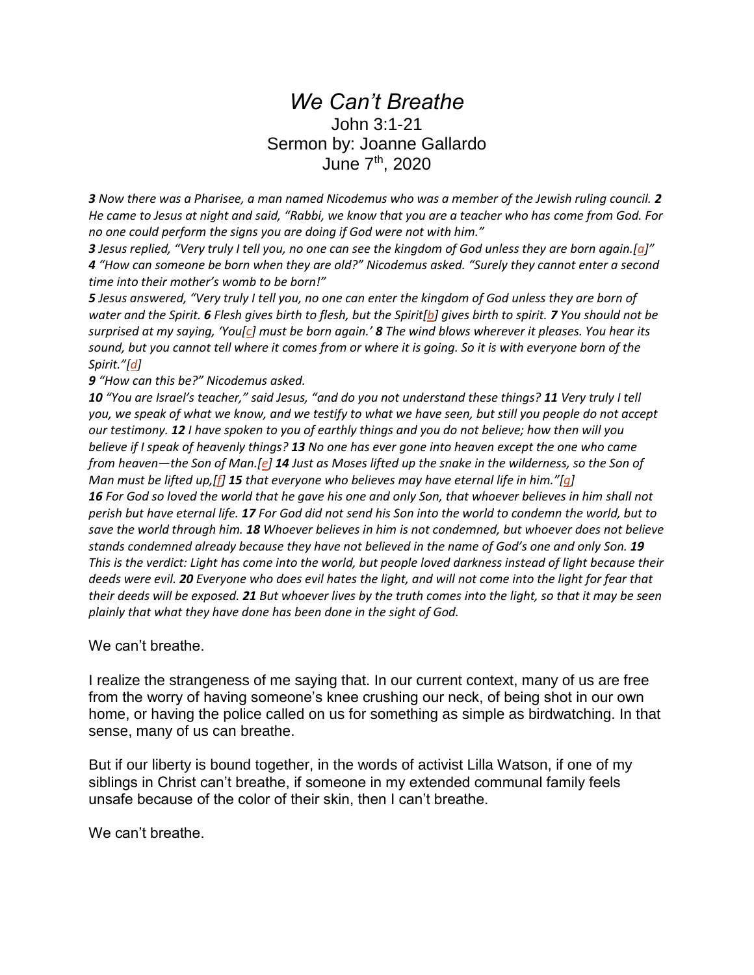## *We Can't Breathe* John 3:1-21 Sermon by: Joanne Gallardo June 7th, 2020

*3 Now there was a Pharisee, a man named Nicodemus who was a member of the Jewish ruling council. 2 He came to Jesus at night and said, "Rabbi, we know that you are a teacher who has come from God. For no one could perform the signs you are doing if God were not with him."*

*3 Jesus replied, "Very truly I tell you, no one can see the kingdom of God unless they are born again.[[a](https://www.biblegateway.com/passage/?search=John+3%3A1-21&version=NIV#fen-NIV-26124a)]" 4 "How can someone be born when they are old?" Nicodemus asked. "Surely they cannot enter a second time into their mother's womb to be born!"*

*5 Jesus answered, "Very truly I tell you, no one can enter the kingdom of God unless they are born of water and the Spirit. 6 Flesh gives birth to flesh, but the Spirit[\[b\]](https://www.biblegateway.com/passage/?search=John+3%3A1-21&version=NIV#fen-NIV-26127b) gives birth to spirit. 7 You should not be surprised at my saying, 'You[[c](https://www.biblegateway.com/passage/?search=John+3%3A1-21&version=NIV#fen-NIV-26128c)] must be born again.' 8 The wind blows wherever it pleases. You hear its sound, but you cannot tell where it comes from or where it is going. So it is with everyone born of the Spirit."[[d\]](https://www.biblegateway.com/passage/?search=John+3%3A1-21&version=NIV#fen-NIV-26129d)*

*9 "How can this be?" Nicodemus asked.*

*10 "You are Israel's teacher," said Jesus, "and do you not understand these things? 11 Very truly I tell you, we speak of what we know, and we testify to what we have seen, but still you people do not accept our testimony. 12 I have spoken to you of earthly things and you do not believe; how then will you believe if I speak of heavenly things? 13 No one has ever gone into heaven except the one who came from heaven—the Son of Man.[\[e\]](https://www.biblegateway.com/passage/?search=John+3%3A1-21&version=NIV#fen-NIV-26134e) 14 Just as Moses lifted up the snake in the wilderness, so the Son of Man must be lifted up,[\[f\]](https://www.biblegateway.com/passage/?search=John+3%3A1-21&version=NIV#fen-NIV-26135f) 15 that everyone who believes may have eternal life in him."[\[g\]](https://www.biblegateway.com/passage/?search=John+3%3A1-21&version=NIV#fen-NIV-26136g) 16 For God so loved the world that he gave his one and only Son, that whoever believes in him shall not perish but have eternal life. 17 For God did not send his Son into the world to condemn the world, but to save the world through him. 18 Whoever believes in him is not condemned, but whoever does not believe stands condemned already because they have not believed in the name of God's one and only Son. 19 This is the verdict: Light has come into the world, but people loved darkness instead of light because their deeds were evil. 20 Everyone who does evil hates the light, and will not come into the light for fear that their deeds will be exposed. 21 But whoever lives by the truth comes into the light, so that it may be seen plainly that what they have done has been done in the sight of God.*

We can't breathe.

I realize the strangeness of me saying that. In our current context, many of us are free from the worry of having someone's knee crushing our neck, of being shot in our own home, or having the police called on us for something as simple as birdwatching. In that sense, many of us can breathe.

But if our liberty is bound together, in the words of activist Lilla Watson, if one of my siblings in Christ can't breathe, if someone in my extended communal family feels unsafe because of the color of their skin, then I can't breathe.

We can't breathe.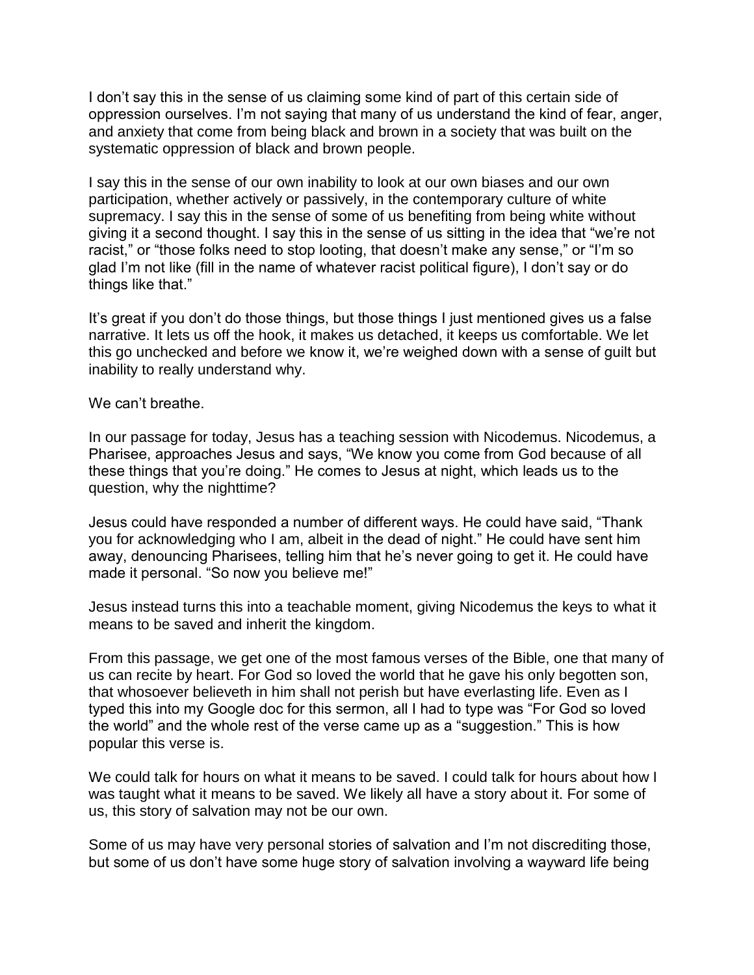I don't say this in the sense of us claiming some kind of part of this certain side of oppression ourselves. I'm not saying that many of us understand the kind of fear, anger, and anxiety that come from being black and brown in a society that was built on the systematic oppression of black and brown people.

I say this in the sense of our own inability to look at our own biases and our own participation, whether actively or passively, in the contemporary culture of white supremacy. I say this in the sense of some of us benefiting from being white without giving it a second thought. I say this in the sense of us sitting in the idea that "we're not racist," or "those folks need to stop looting, that doesn't make any sense," or "I'm so glad I'm not like (fill in the name of whatever racist political figure), I don't say or do things like that."

It's great if you don't do those things, but those things I just mentioned gives us a false narrative. It lets us off the hook, it makes us detached, it keeps us comfortable. We let this go unchecked and before we know it, we're weighed down with a sense of guilt but inability to really understand why.

## We can't breathe.

In our passage for today, Jesus has a teaching session with Nicodemus. Nicodemus, a Pharisee, approaches Jesus and says, "We know you come from God because of all these things that you're doing." He comes to Jesus at night, which leads us to the question, why the nighttime?

Jesus could have responded a number of different ways. He could have said, "Thank you for acknowledging who I am, albeit in the dead of night." He could have sent him away, denouncing Pharisees, telling him that he's never going to get it. He could have made it personal. "So now you believe me!"

Jesus instead turns this into a teachable moment, giving Nicodemus the keys to what it means to be saved and inherit the kingdom.

From this passage, we get one of the most famous verses of the Bible, one that many of us can recite by heart. For God so loved the world that he gave his only begotten son, that whosoever believeth in him shall not perish but have everlasting life. Even as I typed this into my Google doc for this sermon, all I had to type was "For God so loved the world" and the whole rest of the verse came up as a "suggestion." This is how popular this verse is.

We could talk for hours on what it means to be saved. I could talk for hours about how I was taught what it means to be saved. We likely all have a story about it. For some of us, this story of salvation may not be our own.

Some of us may have very personal stories of salvation and I'm not discrediting those, but some of us don't have some huge story of salvation involving a wayward life being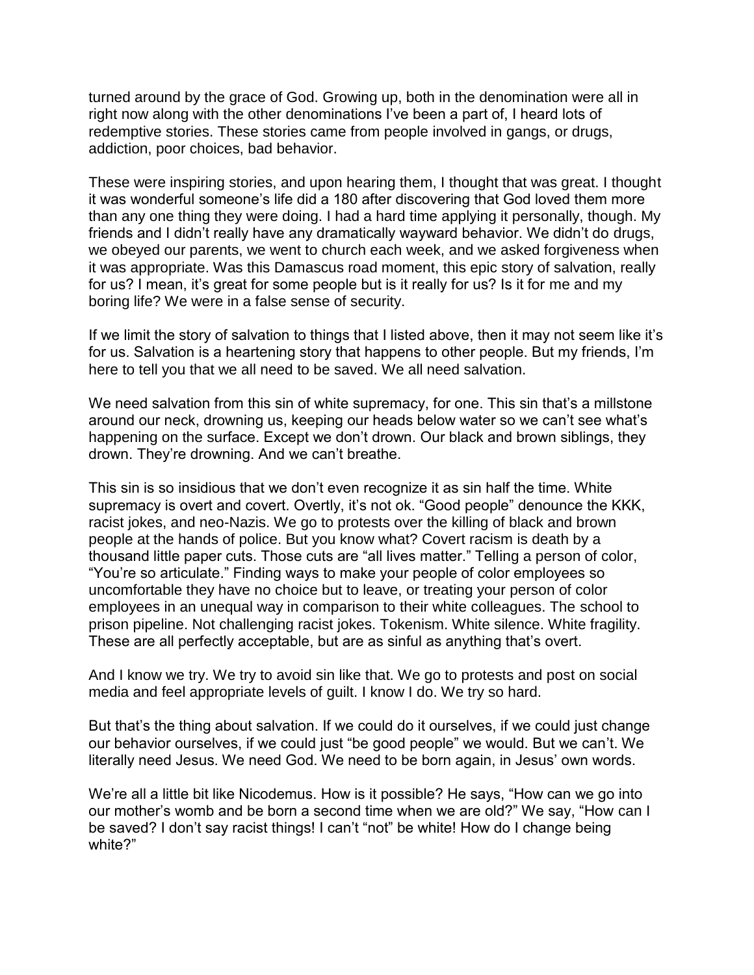turned around by the grace of God. Growing up, both in the denomination were all in right now along with the other denominations I've been a part of, I heard lots of redemptive stories. These stories came from people involved in gangs, or drugs, addiction, poor choices, bad behavior.

These were inspiring stories, and upon hearing them, I thought that was great. I thought it was wonderful someone's life did a 180 after discovering that God loved them more than any one thing they were doing. I had a hard time applying it personally, though. My friends and I didn't really have any dramatically wayward behavior. We didn't do drugs, we obeyed our parents, we went to church each week, and we asked forgiveness when it was appropriate. Was this Damascus road moment, this epic story of salvation, really for us? I mean, it's great for some people but is it really for us? Is it for me and my boring life? We were in a false sense of security.

If we limit the story of salvation to things that I listed above, then it may not seem like it's for us. Salvation is a heartening story that happens to other people. But my friends, I'm here to tell you that we all need to be saved. We all need salvation.

We need salvation from this sin of white supremacy, for one. This sin that's a millstone around our neck, drowning us, keeping our heads below water so we can't see what's happening on the surface. Except we don't drown. Our black and brown siblings, they drown. They're drowning. And we can't breathe.

This sin is so insidious that we don't even recognize it as sin half the time. White supremacy is overt and covert. Overtly, it's not ok. "Good people" denounce the KKK, racist jokes, and neo-Nazis. We go to protests over the killing of black and brown people at the hands of police. But you know what? Covert racism is death by a thousand little paper cuts. Those cuts are "all lives matter." Telling a person of color, "You're so articulate." Finding ways to make your people of color employees so uncomfortable they have no choice but to leave, or treating your person of color employees in an unequal way in comparison to their white colleagues. The school to prison pipeline. Not challenging racist jokes. Tokenism. White silence. White fragility. These are all perfectly acceptable, but are as sinful as anything that's overt.

And I know we try. We try to avoid sin like that. We go to protests and post on social media and feel appropriate levels of guilt. I know I do. We try so hard.

But that's the thing about salvation. If we could do it ourselves, if we could just change our behavior ourselves, if we could just "be good people" we would. But we can't. We literally need Jesus. We need God. We need to be born again, in Jesus' own words.

We're all a little bit like Nicodemus. How is it possible? He says, "How can we go into our mother's womb and be born a second time when we are old?" We say, "How can I be saved? I don't say racist things! I can't "not" be white! How do I change being white?"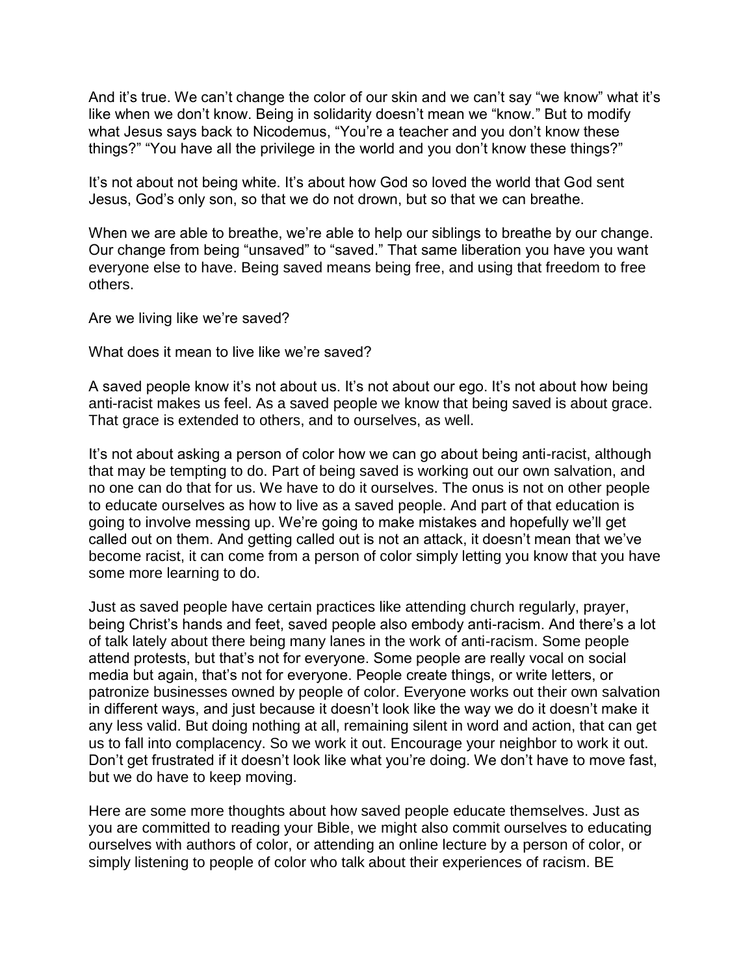And it's true. We can't change the color of our skin and we can't say "we know" what it's like when we don't know. Being in solidarity doesn't mean we "know." But to modify what Jesus says back to Nicodemus, "You're a teacher and you don't know these things?" "You have all the privilege in the world and you don't know these things?"

It's not about not being white. It's about how God so loved the world that God sent Jesus, God's only son, so that we do not drown, but so that we can breathe.

When we are able to breathe, we're able to help our siblings to breathe by our change. Our change from being "unsaved" to "saved." That same liberation you have you want everyone else to have. Being saved means being free, and using that freedom to free others.

Are we living like we're saved?

What does it mean to live like we're saved?

A saved people know it's not about us. It's not about our ego. It's not about how being anti-racist makes us feel. As a saved people we know that being saved is about grace. That grace is extended to others, and to ourselves, as well.

It's not about asking a person of color how we can go about being anti-racist, although that may be tempting to do. Part of being saved is working out our own salvation, and no one can do that for us. We have to do it ourselves. The onus is not on other people to educate ourselves as how to live as a saved people. And part of that education is going to involve messing up. We're going to make mistakes and hopefully we'll get called out on them. And getting called out is not an attack, it doesn't mean that we've become racist, it can come from a person of color simply letting you know that you have some more learning to do.

Just as saved people have certain practices like attending church regularly, prayer, being Christ's hands and feet, saved people also embody anti-racism. And there's a lot of talk lately about there being many lanes in the work of anti-racism. Some people attend protests, but that's not for everyone. Some people are really vocal on social media but again, that's not for everyone. People create things, or write letters, or patronize businesses owned by people of color. Everyone works out their own salvation in different ways, and just because it doesn't look like the way we do it doesn't make it any less valid. But doing nothing at all, remaining silent in word and action, that can get us to fall into complacency. So we work it out. Encourage your neighbor to work it out. Don't get frustrated if it doesn't look like what you're doing. We don't have to move fast, but we do have to keep moving.

Here are some more thoughts about how saved people educate themselves. Just as you are committed to reading your Bible, we might also commit ourselves to educating ourselves with authors of color, or attending an online lecture by a person of color, or simply listening to people of color who talk about their experiences of racism. BE